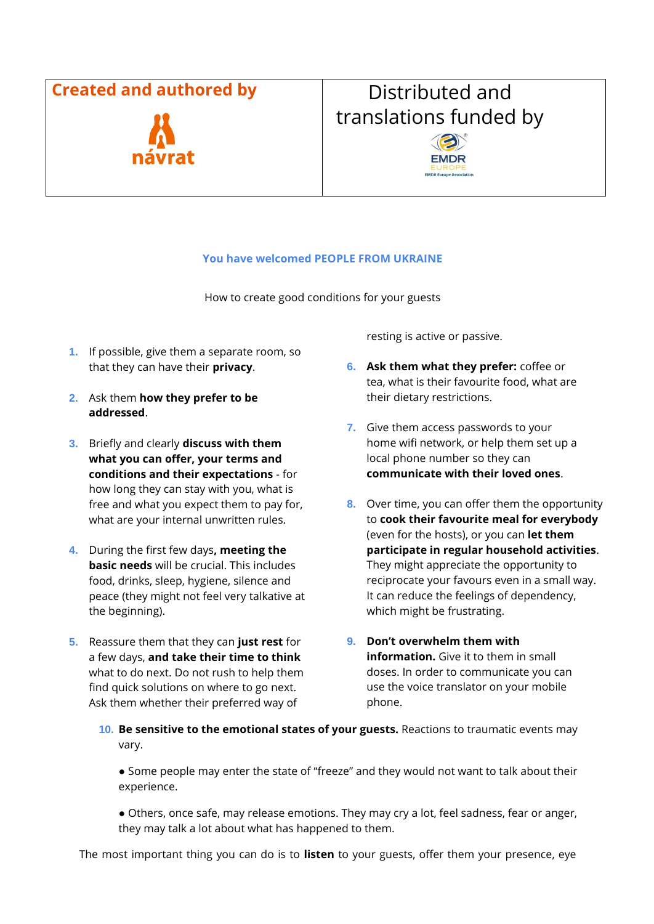## **Created and authored by The Constraint Distributed and**



## translations funded by



## **You have welcomed PEOPLE FROM UKRAINE**

How to create good conditions for your guests

- **1.** If possible, give them a separate room, so that they can have their **privacy**.
- **2.** Ask them **how they prefer to be addressed**.
- **3.** Briefly and clearly **discuss with them what you can offer, your terms and conditions and their expectations** - for how long they can stay with you, what is free and what you expect them to pay for, what are your internal unwritten rules.
- **4.** During the first few days**, meeting the basic needs** will be crucial. This includes food, drinks, sleep, hygiene, silence and peace (they might not feel very talkative at the beginning).
- **5.** Reassure them that they can **just rest** for a few days, **and take their time to think**  what to do next. Do not rush to help them find quick solutions on where to go next. Ask them whether their preferred way of

resting is active or passive.

- **6. Ask them what they prefer:** coffee or tea, what is their favourite food, what are their dietary restrictions.
- **7.** Give them access passwords to your home wifi network, or help them set up a local phone number so they can **communicate with their loved ones**.
- **8.** Over time, you can offer them the opportunity to **cook their favourite meal for everybody**  (even for the hosts), or you can **let them participate in regular household activities**. They might appreciate the opportunity to reciprocate your favours even in a small way. It can reduce the feelings of dependency, which might be frustrating.
- **9. Don't overwhelm them with information.** Give it to them in small doses. In order to communicate you can use the voice translator on your mobile phone.
- **10. Be sensitive to the emotional states of your guests.** Reactions to traumatic events may vary.

● Some people may enter the state of "freeze" and they would not want to talk about their experience.

● Others, once safe, may release emotions. They may cry a lot, feel sadness, fear or anger, they may talk a lot about what has happened to them.

The most important thing you can do is to **listen** to your guests, offer them your presence, eye